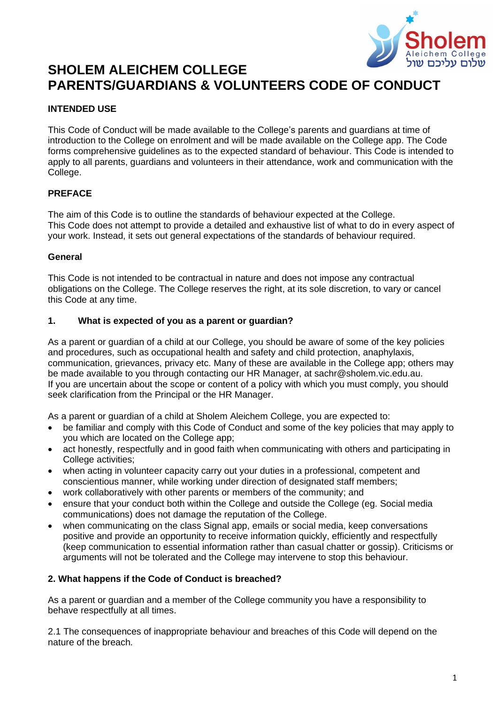

# **SHOLEM ALEICHEM COLLEGE PARENTS/GUARDIANS & VOLUNTEERS CODE OF CONDUCT**

# **INTENDED USE**

This Code of Conduct will be made available to the College's parents and guardians at time of introduction to the College on enrolment and will be made available on the College app. The Code forms comprehensive guidelines as to the expected standard of behaviour. This Code is intended to apply to all parents, guardians and volunteers in their attendance, work and communication with the College.

# **PREFACE**

The aim of this Code is to outline the standards of behaviour expected at the College. This Code does not attempt to provide a detailed and exhaustive list of what to do in every aspect of your work. Instead, it sets out general expectations of the standards of behaviour required.

# **General**

This Code is not intended to be contractual in nature and does not impose any contractual obligations on the College. The College reserves the right, at its sole discretion, to vary or cancel this Code at any time.

#### **1. What is expected of you as a parent or guardian?**

As a parent or guardian of a child at our College, you should be aware of some of the key policies and procedures, such as occupational health and safety and child protection, anaphylaxis, communication, grievances, privacy etc. Many of these are available in the College app; others may be made available to you through contacting our HR Manager, at sachr@sholem.vic.edu.au. If you are uncertain about the scope or content of a policy with which you must comply, you should seek clarification from the Principal or the HR Manager.

As a parent or guardian of a child at Sholem Aleichem College, you are expected to:

- be familiar and comply with this Code of Conduct and some of the key policies that may apply to you which are located on the College app;
- act honestly, respectfully and in good faith when communicating with others and participating in College activities;
- when acting in volunteer capacity carry out your duties in a professional, competent and conscientious manner, while working under direction of designated staff members;
- work collaboratively with other parents or members of the community; and
- ensure that your conduct both within the College and outside the College (eg. Social media communications) does not damage the reputation of the College.
- when communicating on the class Signal app, emails or social media, keep conversations positive and provide an opportunity to receive information quickly, efficiently and respectfully (keep communication to essential information rather than casual chatter or gossip). Criticisms or arguments will not be tolerated and the College may intervene to stop this behaviour.

# **2. What happens if the Code of Conduct is breached?**

As a parent or guardian and a member of the College community you have a responsibility to behave respectfully at all times.

2.1 The consequences of inappropriate behaviour and breaches of this Code will depend on the nature of the breach.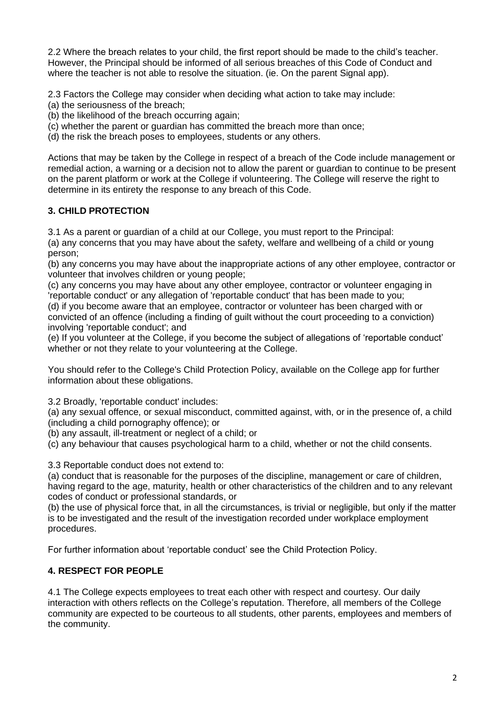2.2 Where the breach relates to your child, the first report should be made to the child's teacher. However, the Principal should be informed of all serious breaches of this Code of Conduct and where the teacher is not able to resolve the situation. (ie. On the parent Signal app).

2.3 Factors the College may consider when deciding what action to take may include:

(a) the seriousness of the breach;

(b) the likelihood of the breach occurring again;

(c) whether the parent or guardian has committed the breach more than once;

(d) the risk the breach poses to employees, students or any others.

Actions that may be taken by the College in respect of a breach of the Code include management or remedial action, a warning or a decision not to allow the parent or guardian to continue to be present on the parent platform or work at the College if volunteering. The College will reserve the right to determine in its entirety the response to any breach of this Code.

# **3. CHILD PROTECTION**

3.1 As a parent or guardian of a child at our College, you must report to the Principal:

(a) any concerns that you may have about the safety, welfare and wellbeing of a child or young person;

(b) any concerns you may have about the inappropriate actions of any other employee, contractor or volunteer that involves children or young people;

(c) any concerns you may have about any other employee, contractor or volunteer engaging in 'reportable conduct' or any allegation of 'reportable conduct' that has been made to you; (d) if you become aware that an employee, contractor or volunteer has been charged with or

convicted of an offence (including a finding of guilt without the court proceeding to a conviction) involving 'reportable conduct'; and

(e) If you volunteer at the College, if you become the subject of allegations of 'reportable conduct' whether or not they relate to your volunteering at the College.

You should refer to the College's Child Protection Policy, available on the College app for further information about these obligations.

3.2 Broadly, 'reportable conduct' includes:

(a) any sexual offence, or sexual misconduct, committed against, with, or in the presence of, a child (including a child pornography offence); or

(b) any assault, ill-treatment or neglect of a child; or

(c) any behaviour that causes psychological harm to a child, whether or not the child consents.

3.3 Reportable conduct does not extend to:

(a) conduct that is reasonable for the purposes of the discipline, management or care of children, having regard to the age, maturity, health or other characteristics of the children and to any relevant codes of conduct or professional standards, or

(b) the use of physical force that, in all the circumstances, is trivial or negligible, but only if the matter is to be investigated and the result of the investigation recorded under workplace employment procedures.

For further information about 'reportable conduct' see the Child Protection Policy.

# **4. RESPECT FOR PEOPLE**

4.1 The College expects employees to treat each other with respect and courtesy. Our daily interaction with others reflects on the College's reputation. Therefore, all members of the College community are expected to be courteous to all students, other parents, employees and members of the community.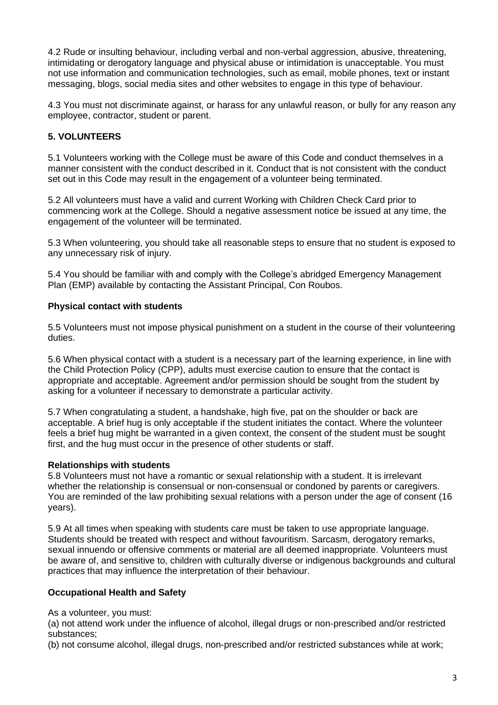4.2 Rude or insulting behaviour, including verbal and non-verbal aggression, abusive, threatening, intimidating or derogatory language and physical abuse or intimidation is unacceptable. You must not use information and communication technologies, such as email, mobile phones, text or instant messaging, blogs, social media sites and other websites to engage in this type of behaviour.

4.3 You must not discriminate against, or harass for any unlawful reason, or bully for any reason any employee, contractor, student or parent.

# **5. VOLUNTEERS**

5.1 Volunteers working with the College must be aware of this Code and conduct themselves in a manner consistent with the conduct described in it. Conduct that is not consistent with the conduct set out in this Code may result in the engagement of a volunteer being terminated.

5.2 All volunteers must have a valid and current Working with Children Check Card prior to commencing work at the College. Should a negative assessment notice be issued at any time, the engagement of the volunteer will be terminated.

5.3 When volunteering, you should take all reasonable steps to ensure that no student is exposed to any unnecessary risk of injury.

5.4 You should be familiar with and comply with the College's abridged Emergency Management Plan (EMP) available by contacting the Assistant Principal, Con Roubos.

# **Physical contact with students**

5.5 Volunteers must not impose physical punishment on a student in the course of their volunteering duties.

5.6 When physical contact with a student is a necessary part of the learning experience, in line with the Child Protection Policy (CPP), adults must exercise caution to ensure that the contact is appropriate and acceptable. Agreement and/or permission should be sought from the student by asking for a volunteer if necessary to demonstrate a particular activity.

5.7 When congratulating a student, a handshake, high five, pat on the shoulder or back are acceptable. A brief hug is only acceptable if the student initiates the contact. Where the volunteer feels a brief hug might be warranted in a given context, the consent of the student must be sought first, and the hug must occur in the presence of other students or staff.

#### **Relationships with students**

5.8 Volunteers must not have a romantic or sexual relationship with a student. It is irrelevant whether the relationship is consensual or non-consensual or condoned by parents or caregivers. You are reminded of the law prohibiting sexual relations with a person under the age of consent (16 years).

5.9 At all times when speaking with students care must be taken to use appropriate language. Students should be treated with respect and without favouritism. Sarcasm, derogatory remarks, sexual innuendo or offensive comments or material are all deemed inappropriate. Volunteers must be aware of, and sensitive to, children with culturally diverse or indigenous backgrounds and cultural practices that may influence the interpretation of their behaviour.

# **Occupational Health and Safety**

As a volunteer, you must:

(a) not attend work under the influence of alcohol, illegal drugs or non-prescribed and/or restricted substances;

(b) not consume alcohol, illegal drugs, non-prescribed and/or restricted substances while at work;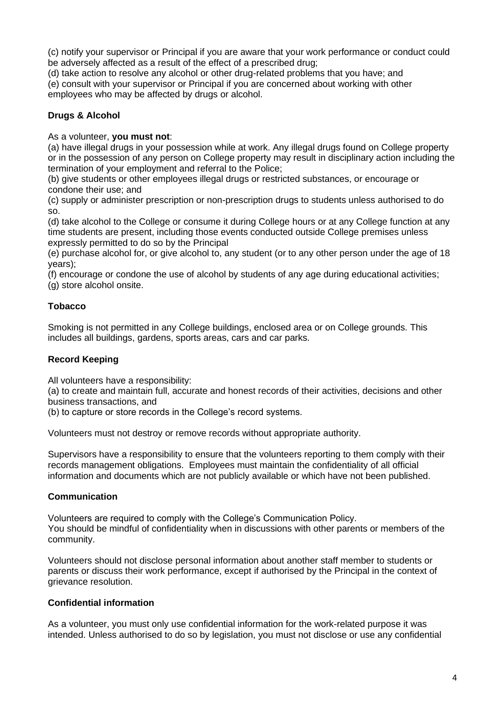(c) notify your supervisor or Principal if you are aware that your work performance or conduct could be adversely affected as a result of the effect of a prescribed drug;

(d) take action to resolve any alcohol or other drug-related problems that you have; and

(e) consult with your supervisor or Principal if you are concerned about working with other employees who may be affected by drugs or alcohol.

# **Drugs & Alcohol**

As a volunteer, **you must not**:

(a) have illegal drugs in your possession while at work. Any illegal drugs found on College property or in the possession of any person on College property may result in disciplinary action including the termination of your employment and referral to the Police;

(b) give students or other employees illegal drugs or restricted substances, or encourage or condone their use; and

(c) supply or administer prescription or non-prescription drugs to students unless authorised to do so.

(d) take alcohol to the College or consume it during College hours or at any College function at any time students are present, including those events conducted outside College premises unless expressly permitted to do so by the Principal

(e) purchase alcohol for, or give alcohol to, any student (or to any other person under the age of 18 years);

(f) encourage or condone the use of alcohol by students of any age during educational activities; (g) store alcohol onsite.

# **Tobacco**

Smoking is not permitted in any College buildings, enclosed area or on College grounds. This includes all buildings, gardens, sports areas, cars and car parks.

# **Record Keeping**

All volunteers have a responsibility:

(a) to create and maintain full, accurate and honest records of their activities, decisions and other business transactions, and

(b) to capture or store records in the College's record systems.

Volunteers must not destroy or remove records without appropriate authority.

Supervisors have a responsibility to ensure that the volunteers reporting to them comply with their records management obligations. Employees must maintain the confidentiality of all official information and documents which are not publicly available or which have not been published.

# **Communication**

Volunteers are required to comply with the College's Communication Policy. You should be mindful of confidentiality when in discussions with other parents or members of the community.

Volunteers should not disclose personal information about another staff member to students or parents or discuss their work performance, except if authorised by the Principal in the context of grievance resolution.

# **Confidential information**

As a volunteer, you must only use confidential information for the work-related purpose it was intended. Unless authorised to do so by legislation, you must not disclose or use any confidential